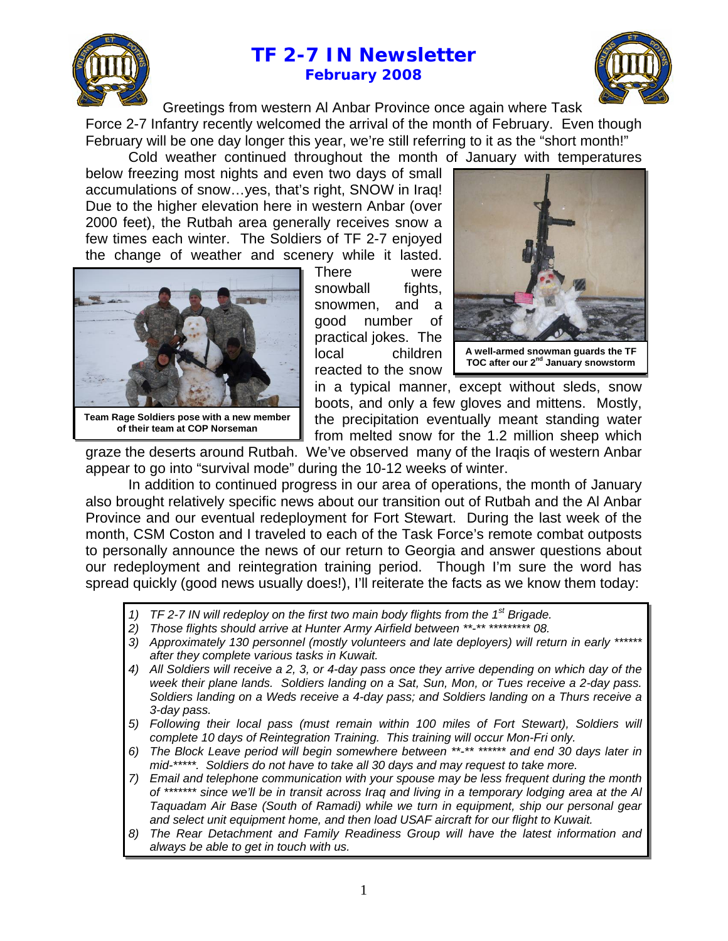



Greetings from western Al Anbar Province once again where Task Force 2-7 Infantry recently welcomed the arrival of the month of February. Even though February will be one day longer this year, we're still referring to it as the "short month!"

Cold weather continued throughout the month of January with temperatures

below freezing most nights and even two days of small accumulations of snow…yes, that's right, SNOW in Iraq! Due to the higher elevation here in western Anbar (over 2000 feet), the Rutbah area generally receives snow a few times each winter. The Soldiers of TF 2-7 enjoyed the change of weather and scenery while it lasted.



**of their team at COP Norseman**

There were snowball fights, snowmen, and a good number of practical jokes. The local children reacted to the snow



**A wel l-armed snowman guards the TF TOC aft er our 2nd January snowstorm** 

in a typical manner, except without sleds, snow boots, and only a few gloves and mittens. Mostly, the precipitation eventually meant standing water from melted snow for the 1.2 million sheep which

graze the deserts around Rutbah. We've observed many of the Iraqis of western Anbar appear to go into "survival mode" during the 10-12 weeks of winter.

In addition to continued progress in our area of operations, the month of January also brought relatively specific news about our transition out of Rutbah and the Al Anbar Province and our eventual redeployment for Fort Stewart. During the last week of the month, CSM Coston and I traveled to each of the Task Force's remote combat outposts to personally announce the news of our return to Georgia and answer questions about our redeployment and reintegration training period. Though I'm sure the word has spread quickly (good news usually does!), I'll reiterate the facts as we know them today:

- *1) TF 2-7 IN will redeploy on the first two main body flights from the 1st Brigade.*
- *2) Those flights should arrive at Hunter Army Airfield between \*\*-\*\* \*\*\*\*\*\*\*\*\* 08.*
- 3) Approximately 130 personnel (mostly volunteers and late deployers) will return in early \* *after they complete various tasks in Kuwait.*
- *4) All Soldiers will receive a 2, 3, or 4-day pass once they arrive depending on which day of the week their plane lands. Soldiers landing on a Sat, Sun, Mon, or Tues receive a 2-day pass. Soldiers landing on a Weds receive a 4-day pass; and Soldiers landing on a Thurs receive a 3-day pass.*
- *5) Following their local pass (must remain within 100 miles of Fort Stewart), Soldiers will complete 10 days of Reintegration Training. This training will occur Mon-Fri only.*
- *6) The Block Leave period will begin somewhere between \*\*-\*\* \*\*\*\*\*\* and end 30 days later in mid-\*\*\*\*\*. Soldiers do not have to take all 30 days and may request to take more.*
- *7) Email and telephone communication with your spouse may be less frequent during the month of \*\*\*\*\*\*\* since we'll be in transit across Iraq and living in a temporary lodging area at the Al Taquadam Air Base (South of Ramadi) while we turn in equipment, ship our personal gear and select unit equipment home, and then load USAF aircraft for our flight to Kuwait.*
- *8) The Rear Detachment and Family Readiness Group will have the latest information and always be able to get in touch with us.*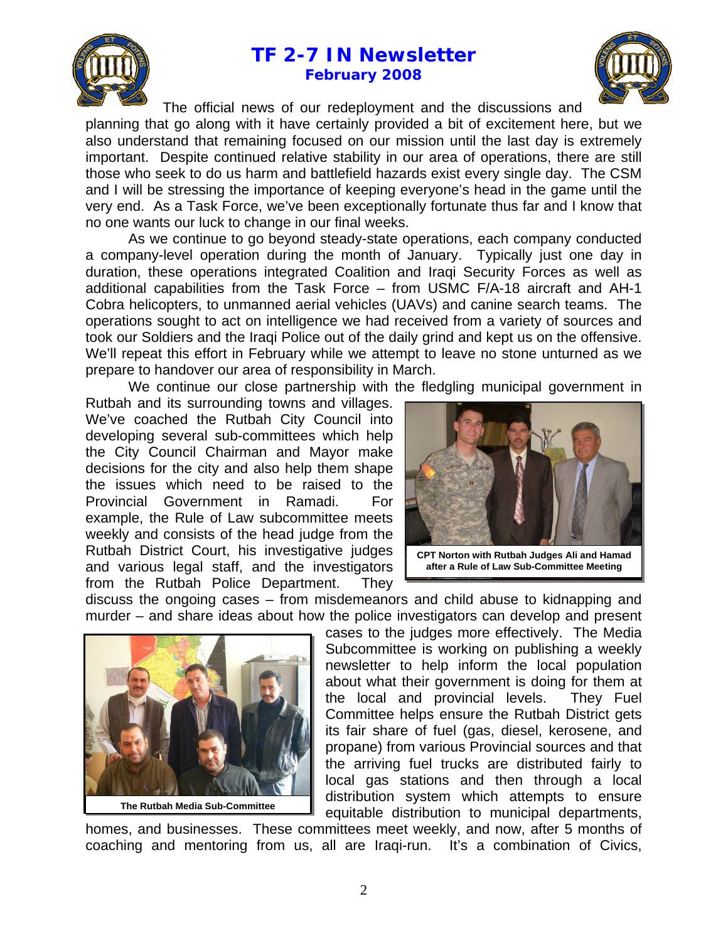

The official news of our redeployment and the discussions and

planning that go along with it have certainly provided a bit of excitement here, but we also understand that remaining focused on our mission until the last day is extremely important. Despite continued relative stability in our area of operations, there are still those who seek to do us harm and battlefield hazards exist every single day. The CSM and I will be stressing the importance of keeping everyone's head in the game until the very end. As a Task Force, we've been exceptionally fortunate thus far and I know that no one wants our luck to change in our final weeks.

As we continue to go beyond steady-state operations, each company conducted a company-level operation during the month of January. Typically just one day in duration, these operations integrated Coalition and Iraqi Security Forces as well as additional capabilities from the Task Force – from USMC F/A-18 aircraft and AH-1 Cobra helicopters, to unmanned aerial vehicles (UAVs) and canine search teams. The operations sought to act on intelligence we had received from a variety of sources and took our Soldiers and the Iraqi Police out of the daily grind and kept us on the offensive. We'll repeat this effort in February while we attempt to leave no stone unturned as we prepare to handover our area of responsibility in March.

We continue our close partnership with the fledgling municipal government in

Rutbah and its surrounding towns and villages. We've coached the Rutbah City Council into developing several sub-committees which help the City Council Chairman and Mayor make decisions for the city and also help them shape the issues which need to be raised to the Provincial Government in Ramadi. For example, the Rule of Law subcommittee meets weekly and consists of the head judge from the Rutbah District Court, his investigative judges and various legal staff, and the investigators from the Rutbah Police Department. They



**after a Rule of Law Sub-Committee Meeting** 

discuss the ongoing cases – from misdemeanors and child abuse to kidnapping and murder – and share ideas about how the police investigators can develop and present



cases to the judges more effectively. The Media Subcommittee is working on publishing a weekly newsletter to help inform the local population about what their government is doing for them at the local and provincial levels. They Fuel Committee helps ensure the Rutbah District gets its fair share of fuel (gas, diesel, kerosene, and propane) from various Provincial sources and that the arriving fuel trucks are distributed fairly to local gas stations and then through a local distribution system which attempts to ensure equitable distribution to municipal departments,

homes, and businesses. These committees meet weekly, and now, after 5 months of coaching and mentoring from us, all are Iraqi-run. It's a combination of Civics,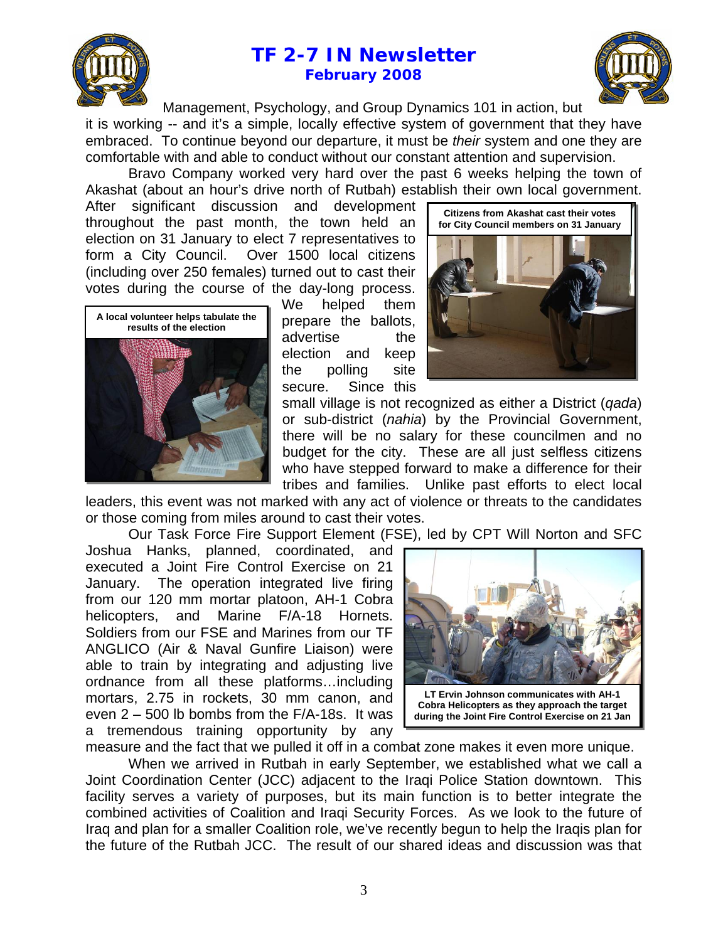



Management, Psychology, and Group Dynamics 101 in action, but it is working -- and it's a simple, locally effective system of government that they have embraced. To continue beyond our departure, it must be *their* system and one they are comfortable with and able to conduct without our constant attention and supervision.

Bravo Company worked very hard over the past 6 weeks helping the town of Akashat (about an hour's drive north of Rutbah) establish their own local government.

After significant discussion and development throughout the past month, the town held an election on 31 January to elect 7 representatives to form a City Council. Over 1500 local citizens (including over 250 females) turned out to cast their votes during the course of the day-long process.



We helped them prepare the ballots, advertise the election and keep the polling site secure. Since this



small village is not recognized as either a District (*qada*) or sub-district (*nahia*) by the Provincial Government, there will be no salary for these councilmen and no budget for the city. These are all just selfless citizens who have stepped forward to make a difference for their tribes and families. Unlike past efforts to elect local

leaders, this event was not marked with any act of violence or threats to the candidates or those coming from miles around to cast their votes.

Our Task Force Fire Support Element (FSE), led by CPT Will Norton and SFC

Joshua Hanks, planned, coordinated, and executed a Joint Fire Control Exercise on 21 January. The operation integrated live firing from our 120 mm mortar platoon, AH-1 Cobra helicopters, and Marine F/A-18 Hornets. Soldiers from our FSE and Marines from our TF ANGLICO (Air & Naval Gunfire Liaison) were able to train by integrating and adjusting live ordnance from all these platforms…including mortars, 2.75 in rockets, 30 mm canon, and even 2 – 500 lb bombs from the F/A-18s. It was a tremendous training opportunity by any



**Cobra Helicopters as they approach the target during the Joint Fire Control Exercise on 21 Jan** 

measure and the fact that we pulled it off in a combat zone makes it even more unique.

When we arrived in Rutbah in early September, we established what we call a Joint Coordination Center (JCC) adjacent to the Iraqi Police Station downtown. This facility serves a variety of purposes, but its main function is to better integrate the combined activities of Coalition and Iraqi Security Forces. As we look to the future of Iraq and plan for a smaller Coalition role, we've recently begun to help the Iraqis plan for the future of the Rutbah JCC. The result of our shared ideas and discussion was that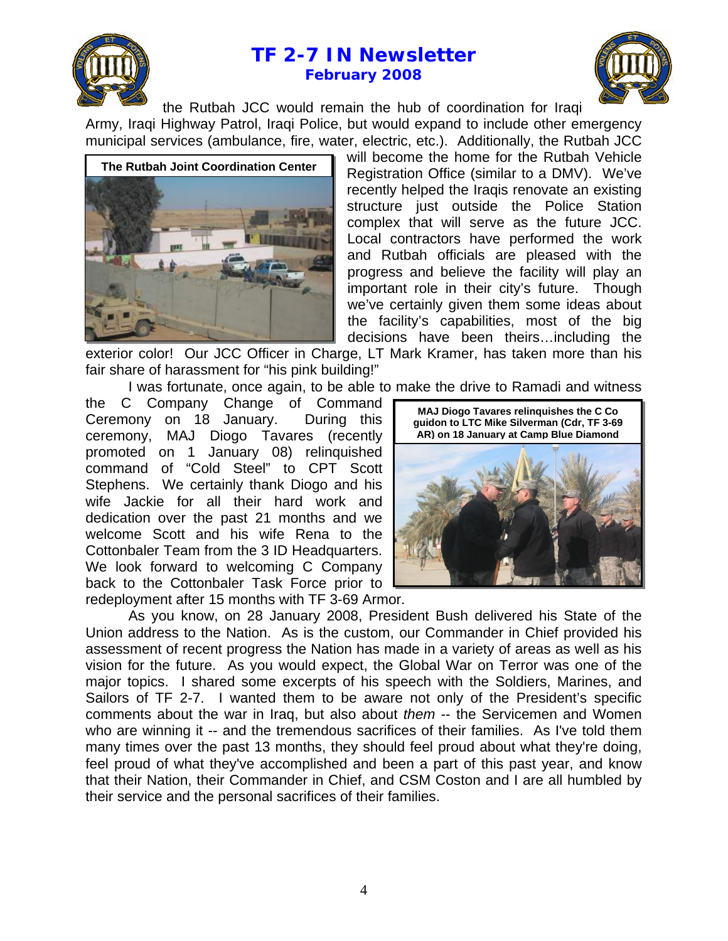



the Rutbah JCC would remain the hub of coordination for Iraqi Army, Iraqi Highway Patrol, Iraqi Police, but would expand to include other emergency municipal services (ambulance, fire, water, electric, etc.). Additionally, the Rutbah JCC



will become the home for the Rutbah Vehicle Registration Office (similar to a DMV). We've recently helped the Iraqis renovate an existing structure just outside the Police Station complex that will serve as the future JCC. Local contractors have performed the work and Rutbah officials are pleased with the progress and believe the facility will play an important role in their city's future. Though we've certainly given them some ideas about the facility's capabilities, most of the big decisions have been theirs…including the

exterior color! Our JCC Officer in Charge, LT Mark Kramer, has taken more than his fair share of harassment for "his pink building!"

I was fortunate, once again, to be able to make the drive to Ramadi and witness

the C Company Change of Command Ceremony on 18 January. During this ceremony, MAJ Diogo Tavares (recently promoted on 1 January 08) relinquished command of "Cold Steel" to CPT Scott Stephens. We certainly thank Diogo and his wife Jackie for all their hard work and dedication over the past 21 months and we welcome Scott and his wife Rena to the Cottonbaler Team from the 3 ID Headquarters. We look forward to welcoming C Company back to the Cottonbaler Task Force prior to redeployment after 15 months with TF 3-69 Armor.



As you know, on 28 January 2008, President Bush delivered his State of the Union address to the Nation. As is the custom, our Commander in Chief provided his assessment of recent progress the Nation has made in a variety of areas as well as his vision for the future. As you would expect, the Global War on Terror was one of the major topics. I shared some excerpts of his speech with the Soldiers, Marines, and Sailors of TF 2-7. I wanted them to be aware not only of the President's specific comments about the war in Iraq, but also about *them* -- the Servicemen and Women who are winning it -- and the tremendous sacrifices of their families. As I've told them many times over the past 13 months, they should feel proud about what they're doing, feel proud of what they've accomplished and been a part of this past year, and know that their Nation, their Commander in Chief, and CSM Coston and I are all humbled by their service and the personal sacrifices of their families.